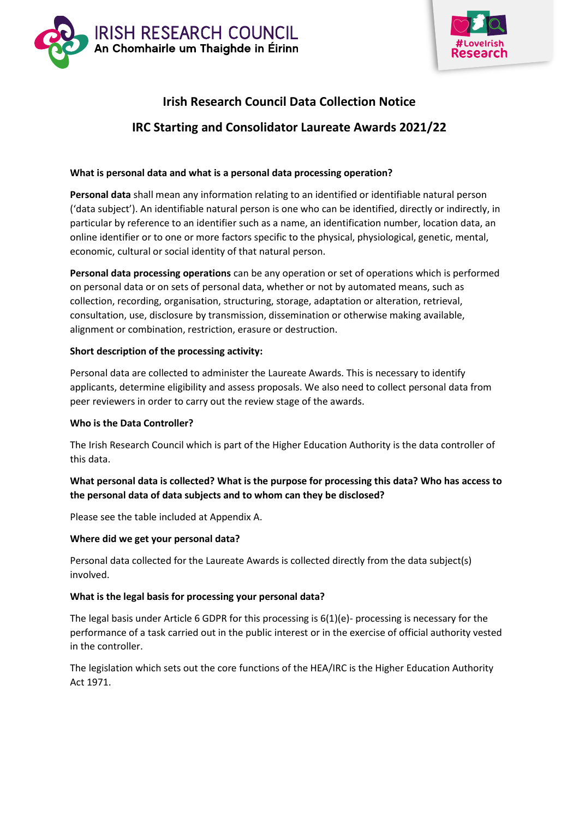



# **Irish Research Council Data Collection Notice IRC Starting and Consolidator Laureate Awards 2021/22**

#### **What is personal data and what is a personal data processing operation?**

**Personal data** shall mean any information relating to an identified or identifiable natural person ('data subject'). An identifiable natural person is one who can be identified, directly or indirectly, in particular by reference to an identifier such as a name, an identification number, location data, an online identifier or to one or more factors specific to the physical, physiological, genetic, mental, economic, cultural or social identity of that natural person.

**Personal data processing operations** can be any operation or set of operations which is performed on personal data or on sets of personal data, whether or not by automated means, such as collection, recording, organisation, structuring, storage, adaptation or alteration, retrieval, consultation, use, disclosure by transmission, dissemination or otherwise making available, alignment or combination, restriction, erasure or destruction.

#### **Short description of the processing activity:**

Personal data are collected to administer the Laureate Awards. This is necessary to identify applicants, determine eligibility and assess proposals. We also need to collect personal data from peer reviewers in order to carry out the review stage of the awards.

#### **Who is the Data Controller?**

The Irish Research Council which is part of the Higher Education Authority is the data controller of this data.

#### **What personal data is collected? What is the purpose for processing this data? Who has access to the personal data of data subjects and to whom can they be disclosed?**

Please see the table included at Appendix A.

#### **Where did we get your personal data?**

Personal data collected for the Laureate Awards is collected directly from the data subject(s) involved.

#### **What is the legal basis for processing your personal data?**

The legal basis under Article 6 GDPR for this processing is  $6(1)(e)$ - processing is necessary for the performance of a task carried out in the public interest or in the exercise of official authority vested in the controller.

The legislation which sets out the core functions of the HEA/IRC is the Higher Education Authority Act 1971.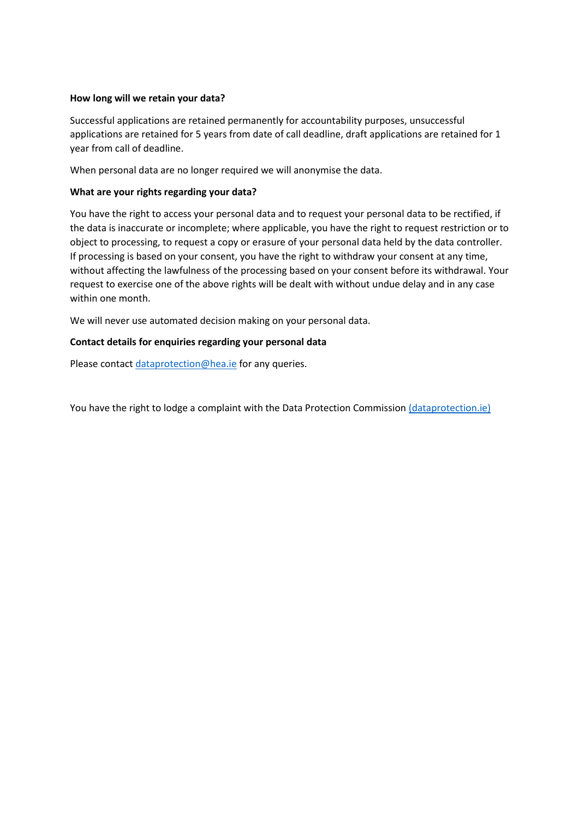#### **How long will we retain your data?**

Successful applications are retained permanently for accountability purposes, unsuccessful applications are retained for 5 years from date of call deadline, draft applications are retained for 1 year from call of deadline.

When personal data are no longer required we will anonymise the data.

#### **What are your rights regarding your data?**

You have the right to access your personal data and to request your personal data to be rectified, if the data is inaccurate or incomplete; where applicable, you have the right to request restriction or to object to processing, to request a copy or erasure of your personal data held by the data controller. If processing is based on your consent, you have the right to withdraw your consent at any time, without affecting the lawfulness of the processing based on your consent before its withdrawal. Your request to exercise one of the above rights will be dealt with without undue delay and in any case within one month.

We will never use automated decision making on your personal data.

#### **Contact details for enquiries regarding your personal data**

Please contact [dataprotection@hea.ie](mailto:dataprotection@hea.ie) for any queries.

You have the right to lodge a complaint with the Data Protection Commission [\(dataprotection.ie\)](file:///C:/Users/ENoonan/AppData/Local/Microsoft/Windows/INetCache/Content.Outlook/ISIOA5YH/dataprotection.ie)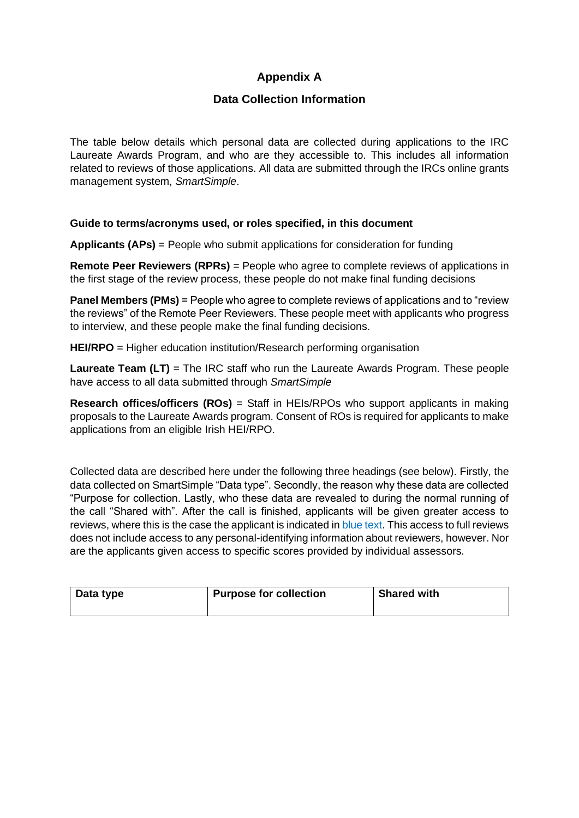### **Appendix A**

### **Data Collection Information**

The table below details which personal data are collected during applications to the IRC Laureate Awards Program, and who are they accessible to. This includes all information related to reviews of those applications. All data are submitted through the IRCs online grants management system, *SmartSimple*.

#### **Guide to terms/acronyms used, or roles specified, in this document**

**Applicants (APs)** = People who submit applications for consideration for funding

**Remote Peer Reviewers (RPRs)** = People who agree to complete reviews of applications in the first stage of the review process, these people do not make final funding decisions

**Panel Members (PMs)** = People who agree to complete reviews of applications and to "review" the reviews" of the Remote Peer Reviewers. These people meet with applicants who progress to interview, and these people make the final funding decisions.

**HEI/RPO** = Higher education institution/Research performing organisation

**Laureate Team (LT)** = The IRC staff who run the Laureate Awards Program. These people have access to all data submitted through *SmartSimple*

**Research offices/officers (ROs)** = Staff in HEIs/RPOs who support applicants in making proposals to the Laureate Awards program. Consent of ROs is required for applicants to make applications from an eligible Irish HEI/RPO.

Collected data are described here under the following three headings (see below). Firstly, the data collected on SmartSimple "Data type". Secondly, the reason why these data are collected "Purpose for collection. Lastly, who these data are revealed to during the normal running of the call "Shared with". After the call is finished, applicants will be given greater access to reviews, where this is the case the applicant is indicated in blue text. This access to full reviews does not include access to any personal-identifying information about reviewers, however. Nor are the applicants given access to specific scores provided by individual assessors.

| Data type | <b>Purpose for collection</b> | <b>Shared with</b> |
|-----------|-------------------------------|--------------------|
|           |                               |                    |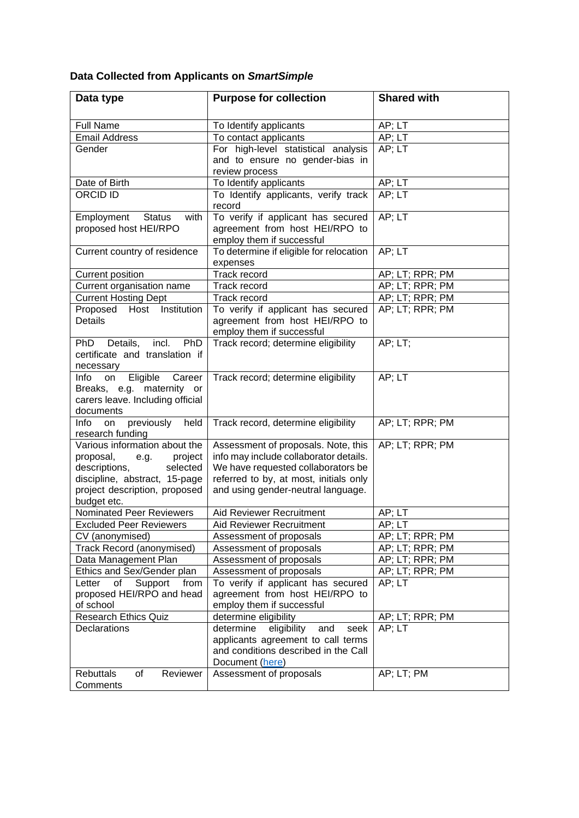# **Data Collected from Applicants on** *SmartSimple*

| Data type                                     | <b>Purpose for collection</b>            | <b>Shared with</b>   |
|-----------------------------------------------|------------------------------------------|----------------------|
|                                               |                                          |                      |
| <b>Full Name</b>                              | To Identify applicants                   | AP; LT               |
| <b>Email Address</b>                          | To contact applicants                    | AP; LT               |
| Gender                                        | For high-level statistical analysis      | AP; LT               |
|                                               | and to ensure no gender-bias in          |                      |
| Date of Birth                                 | review process<br>To Identify applicants | AP; LT               |
| <b>ORCID ID</b>                               | To Identify applicants, verify track     | AP; LT               |
|                                               | record                                   |                      |
| Employment<br><b>Status</b><br>with           | To verify if applicant has secured       | AP; LT               |
| proposed host HEI/RPO                         | agreement from host HEI/RPO to           |                      |
|                                               | employ them if successful                |                      |
| Current country of residence                  | To determine if eligible for relocation  | $AP; L\overline{T}$  |
|                                               | expenses                                 |                      |
| Current position                              | Track record                             | AP; LT; RPR; PM      |
| Current organisation name                     | <b>Track record</b>                      | AP; LT; RPR; PM      |
| <b>Current Hosting Dept</b>                   | Track record                             | AP; LT; RPR; PM      |
| Proposed Host Institution                     | To verify if applicant has secured       | AP; LT; RPR; PM      |
| <b>Details</b>                                | agreement from host HEI/RPO to           |                      |
|                                               | employ them if successful                |                      |
| Details, incl.<br>PhD<br>PhD                  | Track record; determine eligibility      | AP; LT;              |
| certificate and translation if                |                                          |                      |
| necessary<br>Eligible<br>Career<br>Info<br>on | Track record; determine eligibility      | AP; LT               |
| Breaks, e.g. maternity or                     |                                          |                      |
| carers leave. Including official              |                                          |                      |
| documents                                     |                                          |                      |
| Info<br>previously<br>held<br>on              | Track record, determine eligibility      | AP; LT; RPR; PM      |
| research funding                              |                                          |                      |
| Various information about the                 | Assessment of proposals. Note, this      | AP; LT; RPR; PM      |
| proposal,<br>project<br>e.g.                  | info may include collaborator details.   |                      |
| descriptions,<br>selected                     | We have requested collaborators be       |                      |
| discipline, abstract, 15-page                 | referred to by, at most, initials only   |                      |
| project description, proposed                 | and using gender-neutral language.       |                      |
| budget etc.<br>Nominated Peer Reviewers       | Aid Reviewer Recruitment                 | AP; LT               |
| <b>Excluded Peer Reviewers</b>                | Aid Reviewer Recruitment                 | $\overline{AP}$ ; LT |
| CV (anonymised)                               | Assessment of proposals                  | AP; LT; RPR; PM      |
| <b>Track Record (anonymised)</b>              | Assessment of proposals                  | AP; LT; RPR; PM      |
| Data Management Plan                          | Assessment of proposals                  | AP; LT; RPR; PM      |
| Ethics and Sex/Gender plan                    | Assessment of proposals                  | AP; LT; RPR; PM      |
| of<br>Support<br>Letter<br>from               | To verify if applicant has secured       | AP; LT               |
| proposed HEI/RPO and head                     | agreement from host HEI/RPO to           |                      |
| of school                                     | employ them if successful                |                      |
| <b>Research Ethics Quiz</b>                   | determine eligibility                    | AP; LT; RPR; PM      |
| Declarations                                  | determine<br>eligibility<br>and<br>seek  | AP; LT               |
|                                               | applicants agreement to call terms       |                      |
|                                               | and conditions described in the Call     |                      |
|                                               | Document (here)                          |                      |
| <b>Rebuttals</b><br>of<br>Reviewer            | Assessment of proposals                  | AP; LT; PM           |
| Comments                                      |                                          |                      |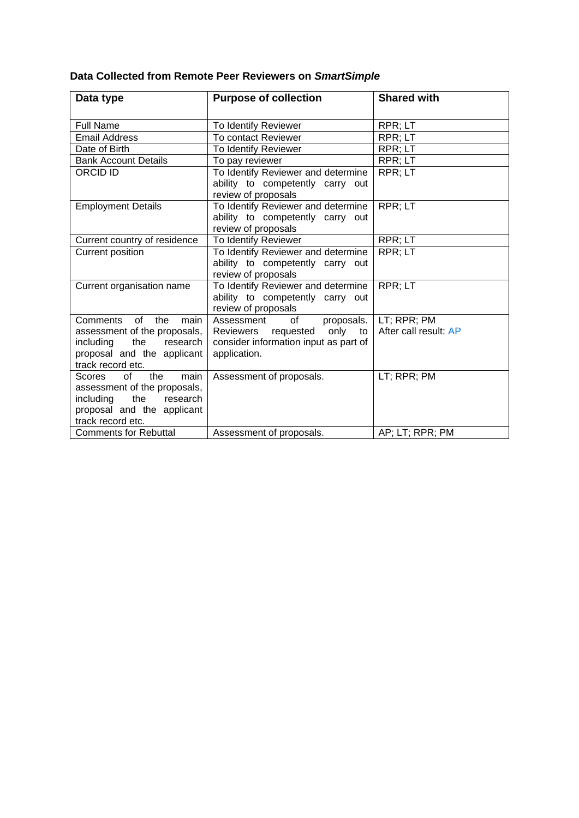# **Data Collected from Remote Peer Reviewers on** *SmartSimple*

| Data type                                       | <b>Purpose of collection</b>                                           | <b>Shared with</b>    |
|-------------------------------------------------|------------------------------------------------------------------------|-----------------------|
| <b>Full Name</b>                                | To Identify Reviewer                                                   | RPR; LT               |
| <b>Email Address</b>                            | To contact Reviewer                                                    | RPR; LT               |
| Date of Birth                                   | To Identify Reviewer                                                   | RPR; LT               |
| <b>Bank Account Details</b>                     | To pay reviewer                                                        | RPR; LT               |
| <b>ORCID ID</b>                                 | To Identify Reviewer and determine<br>ability to competently carry out | RPR; LT               |
|                                                 | review of proposals                                                    |                       |
| <b>Employment Details</b>                       | To Identify Reviewer and determine                                     | RPR; LT               |
|                                                 | ability to competently carry out<br>review of proposals                |                       |
| Current country of residence                    | To Identify Reviewer                                                   | RPR; LT               |
| <b>Current position</b>                         | To Identify Reviewer and determine                                     | RPR; LT               |
|                                                 | ability to competently carry out                                       |                       |
|                                                 | review of proposals                                                    |                       |
| Current organisation name                       | To Identify Reviewer and determine                                     | RPR; LT               |
|                                                 | ability to competently carry out<br>review of proposals                |                       |
| Comments of<br>the<br>main                      | Assessment<br>of<br>proposals.                                         | LT; RPR; PM           |
| assessment of the proposals,                    | Reviewers requested<br>only to                                         | After call result: AP |
| including<br>the<br>research                    | consider information input as part of                                  |                       |
| proposal and the applicant                      | application.                                                           |                       |
| track record etc.                               |                                                                        |                       |
| of<br>the<br>Scores<br>main                     | Assessment of proposals.                                               | LT; RPR; PM           |
| assessment of the proposals,                    |                                                                        |                       |
| including<br>research<br>the                    |                                                                        |                       |
| proposal and the applicant<br>track record etc. |                                                                        |                       |
| <b>Comments for Rebuttal</b>                    | Assessment of proposals.                                               | AP; LT; RPR; PM       |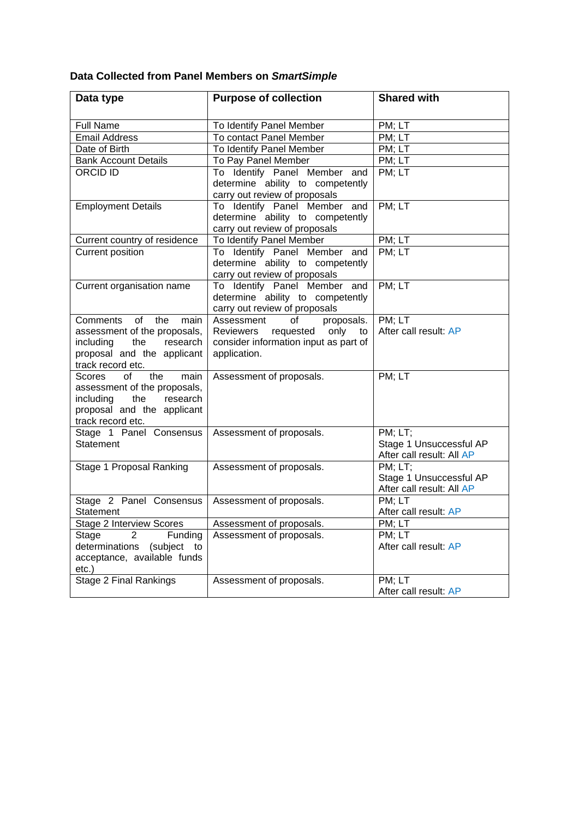# **Data Collected from Panel Members on** *SmartSimple*

| Data type                        | <b>Purpose of collection</b>                                  | <b>Shared with</b>        |
|----------------------------------|---------------------------------------------------------------|---------------------------|
|                                  |                                                               |                           |
| <b>Full Name</b>                 | To Identify Panel Member                                      | PM; LT                    |
| Email Address                    | To contact Panel Member                                       | PM; LT                    |
| Date of Birth                    | To Identify Panel Member                                      | PM; LT                    |
| <b>Bank Account Details</b>      | To Pay Panel Member                                           | PM; LT                    |
| <b>ORCID ID</b>                  | To Identify Panel Member and                                  | PM; LT                    |
|                                  | determine ability to competently                              |                           |
|                                  | carry out review of proposals                                 |                           |
| <b>Employment Details</b>        | To Identify Panel Member and                                  | PM; LT                    |
|                                  | determine ability to competently                              |                           |
|                                  | carry out review of proposals                                 |                           |
| Current country of residence     | To Identify Panel Member                                      | PM; LT                    |
| <b>Current position</b>          | To Identify Panel Member and                                  | PM; LT                    |
|                                  | determine ability to competently                              |                           |
| Current organisation name        | carry out review of proposals<br>To Identify Panel Member and | PM; LT                    |
|                                  | determine ability to competently                              |                           |
|                                  | carry out review of proposals                                 |                           |
| Comments of<br>the<br>main       | Assessment<br>of<br>proposals.                                | PM; LT                    |
| assessment of the proposals,     | Reviewers requested only to                                   | After call result: AP     |
| including the research           | consider information input as part of                         |                           |
| proposal and the applicant       | application.                                                  |                           |
| track record etc.                |                                                               |                           |
| of<br>the<br>Scores<br>main      | Assessment of proposals.                                      | PM; LT                    |
| assessment of the proposals,     |                                                               |                           |
| including the<br>research        |                                                               |                           |
| proposal and the applicant       |                                                               |                           |
| track record etc.                |                                                               |                           |
| Stage 1 Panel Consensus          | Assessment of proposals.                                      | PM; LT;                   |
| <b>Statement</b>                 |                                                               | Stage 1 Unsuccessful AP   |
|                                  |                                                               | After call result: All AP |
| Stage 1 Proposal Ranking         | Assessment of proposals.                                      | PM; LT;                   |
|                                  |                                                               | Stage 1 Unsuccessful AP   |
|                                  |                                                               | After call result: All AP |
| Stage 2 Panel Consensus          | Assessment of proposals.                                      | PM; LT                    |
| Statement                        |                                                               | After call result: AP     |
| Stage 2 Interview Scores         | Assessment of proposals.                                      | PM; LT                    |
| 2<br>Funding<br>Stage            | Assessment of proposals.                                      | PM; LT                    |
| determinations<br>(subject<br>to |                                                               | After call result: AP     |
| acceptance, available funds      |                                                               |                           |
| etc.)                            |                                                               |                           |
| <b>Stage 2 Final Rankings</b>    | Assessment of proposals.                                      | PM; LT                    |
|                                  |                                                               | After call result: AP     |